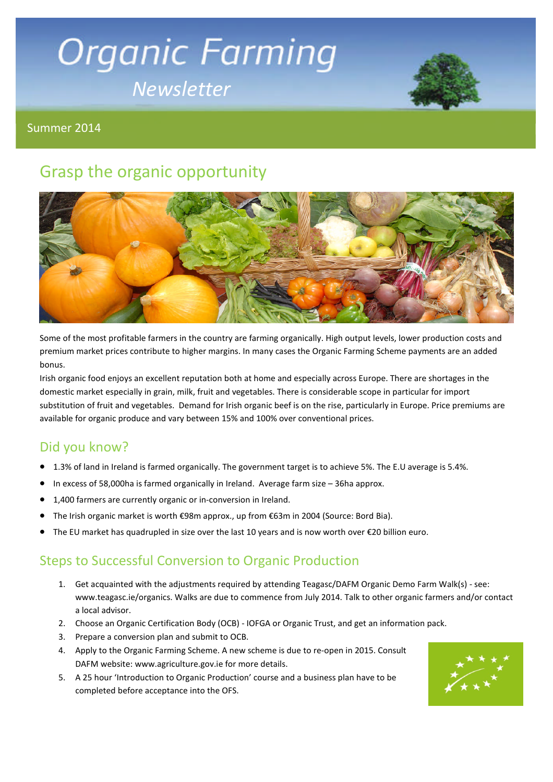# **Organic Farming** *Newsletter*



Summer 2014

# Grasp the organic opportunity



Some of the most profitable farmers in the country are farming organically. High output levels, lower production costs and premium market prices contribute to higher margins. In many cases the Organic Farming Scheme payments are an added bonus.

Irish organic food enjoys an excellent reputation both at home and especially across Europe. There are shortages in the domestic market especially in grain, milk, fruit and vegetables. There is considerable scope in particular for import substitution of fruit and vegetables. Demand for Irish organic beef is on the rise, particularly in Europe. Price premiums are available for organic produce and vary between 15% and 100% over conventional prices.

# Did you know?

- 1.3% of land in Ireland is farmed organically. The government target is to achieve 5%. The E.U average is 5.4%.
- In excess of 58,000ha is farmed organically in Ireland. Average farm size 36ha approx.
- 1,400 farmers are currently organic or in-conversion in Ireland.
- The Irish organic market is worth €98m approx., up from €63m in 2004 (Source: Bord Bia).
- The EU market has quadrupled in size over the last 10 years and is now worth over €20 billion euro.

# Steps to Successful Conversion to Organic Production

- 1. Get acquainted with the adjustments required by attending Teagasc/DAFM Organic Demo Farm Walk(s) see: www.teagasc.ie/organics. Walks are due to commence from July 2014. Talk to other organic farmers and/or contact a local advisor.
- 2. Choose an Organic Certification Body (OCB) IOFGA or Organic Trust, and get an information pack.
- 3. Prepare a conversion plan and submit to OCB.
- 4. Apply to the Organic Farming Scheme. A new scheme is due to re-open in 2015. Consult DAFM website: www.agriculture.gov.ie for more details.
- 5. A 25 hour 'Introduction to Organic Production' course and a business plan have to be completed before acceptance into the OFS.

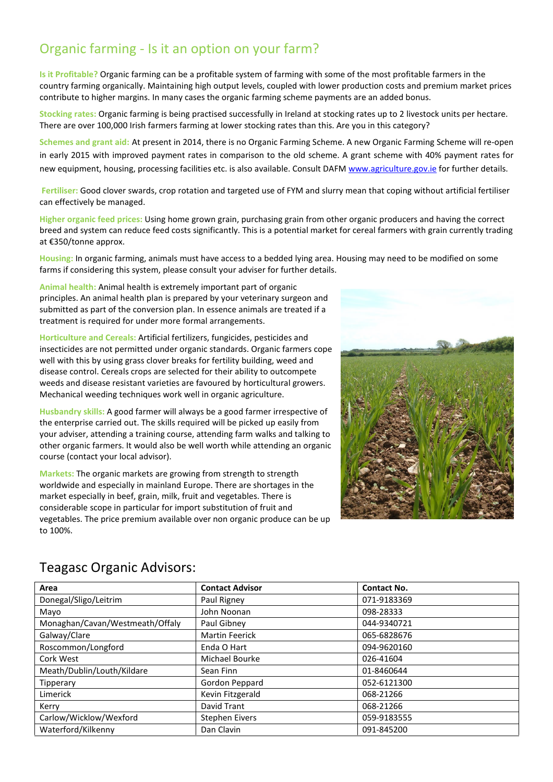# Organic farming - Is it an option on your farm?

**Is it Profitable?** Organic farming can be a profitable system of farming with some of the most profitable farmers in the country farming organically. Maintaining high output levels, coupled with lower production costs and premium market prices contribute to higher margins. In many cases the organic farming scheme payments are an added bonus.

**Stocking rates:** Organic farming is being practised successfully in Ireland at stocking rates up to 2 livestock units per hectare. There are over 100,000 Irish farmers farming at lower stocking rates than this. Are you in this category?

**Schemes and grant aid:** At present in 2014, there is no Organic Farming Scheme. A new Organic Farming Scheme will re-open in early 2015 with improved payment rates in comparison to the old scheme. A grant scheme with 40% payment rates for new equipment, housing, processing facilities etc. is also available. Consult DAFM www.agriculture.gov.ie for further details.

**Fertiliser:** Good clover swards, crop rotation and targeted use of FYM and slurry mean that coping without artificial fertiliser can effectively be managed.

**Higher organic feed prices:** Using home grown grain, purchasing grain from other organic producers and having the correct breed and system can reduce feed costs significantly. This is a potential market for cereal farmers with grain currently trading at €350/tonne approx.

**Housing:** In organic farming, animals must have access to a bedded lying area. Housing may need to be modified on some farms if considering this system, please consult your adviser for further details.

**Animal health:** Animal health is extremely important part of organic principles. An animal health plan is prepared by your veterinary surgeon and submitted as part of the conversion plan. In essence animals are treated if a treatment is required for under more formal arrangements.

**Horticulture and Cereals:** Artificial fertilizers, fungicides, pesticides and insecticides are not permitted under organic standards. Organic farmers cope well with this by using grass clover breaks for fertility building, weed and disease control. Cereals crops are selected for their ability to outcompete weeds and disease resistant varieties are favoured by horticultural growers. Mechanical weeding techniques work well in organic agriculture.

**Husbandry skills:** A good farmer will always be a good farmer irrespective of the enterprise carried out. The skills required will be picked up easily from your adviser, attending a training course, attending farm walks and talking to other organic farmers. It would also be well worth while attending an organic course (contact your local advisor).

**Markets:** The organic markets are growing from strength to strength worldwide and especially in mainland Europe. There are shortages in the market especially in beef, grain, milk, fruit and vegetables. There is considerable scope in particular for import substitution of fruit and vegetables. The price premium available over non organic produce can be up to 100%.



| Area                            | <b>Contact Advisor</b> | <b>Contact No.</b> |
|---------------------------------|------------------------|--------------------|
| Donegal/Sligo/Leitrim           | Paul Rigney            | 071-9183369        |
| Mayo                            | John Noonan            | 098-28333          |
| Monaghan/Cavan/Westmeath/Offaly | Paul Gibney            | 044-9340721        |
| Galway/Clare                    | <b>Martin Feerick</b>  | 065-6828676        |
| Roscommon/Longford              | Enda O Hart            | 094-9620160        |
| Cork West                       | Michael Bourke         | 026-41604          |
| Meath/Dublin/Louth/Kildare      | Sean Finn              | 01-8460644         |
| Tipperary                       | Gordon Peppard         | 052-6121300        |
| Limerick                        | Kevin Fitzgerald       | 068-21266          |
| Kerry                           | David Trant            | 068-21266          |
| Carlow/Wicklow/Wexford          | <b>Stephen Eivers</b>  | 059-9183555        |
| Waterford/Kilkenny              | Dan Clavin             | 091-845200         |

## Teagasc Organic Advisors: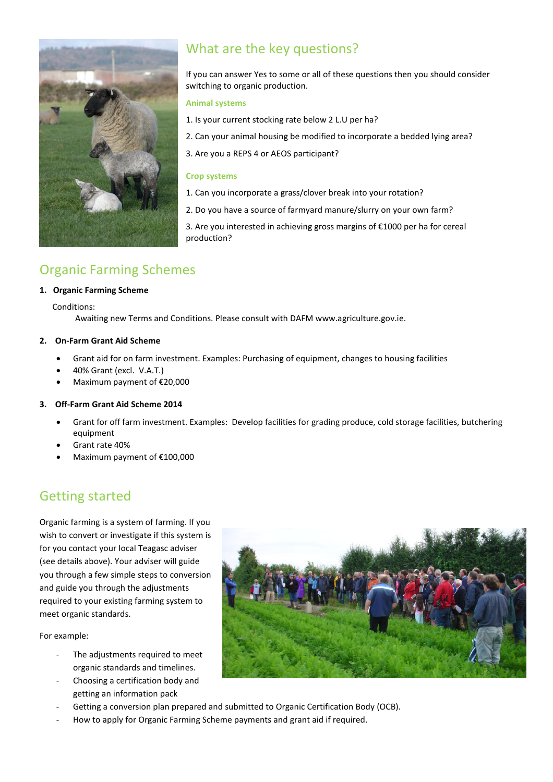

# What are the key questions?

If you can answer Yes to some or all of these questions then you should consider switching to organic production.

#### **Animal systems**

- 1. Is your current stocking rate below 2 L.U per ha?
- 2. Can your animal housing be modified to incorporate a bedded lying area?
- 3. Are you a REPS 4 or AEOS participant?

#### **Crop systems**

- 1. Can you incorporate a grass/clover break into your rotation?
- 2. Do you have a source of farmyard manure/slurry on your own farm?

3. Are you interested in achieving gross margins of €1000 per ha for cereal production?

# Organic Farming Schemes

#### **1. Organic Farming Scheme**

Conditions:

Awaiting new Terms and Conditions. Please consult with DAFM www.agriculture.gov.ie.

#### **2. On-Farm Grant Aid Scheme**

- Grant aid for on farm investment. Examples: Purchasing of equipment, changes to housing facilities
- 40% Grant (excl. V.A.T.)
- Maximum payment of €20,000

#### **3. Off-Farm Grant Aid Scheme 2014**

- Grant for off farm investment. Examples: Develop facilities for grading produce, cold storage facilities, butchering equipment
- Grant rate 40%
- Maximum payment of €100,000

## Getting started

Organic farming is a system of farming. If you wish to convert or investigate if this system is for you contact your local Teagasc adviser (see details above). Your adviser will guide you through a few simple steps to conversion and guide you through the adjustments required to your existing farming system to meet organic standards.

For example:

- The adjustments required to meet organic standards and timelines.
- Choosing a certification body and getting an information pack
- Getting a conversion plan prepared and submitted to Organic Certification Body (OCB).
- How to apply for Organic Farming Scheme payments and grant aid if required.